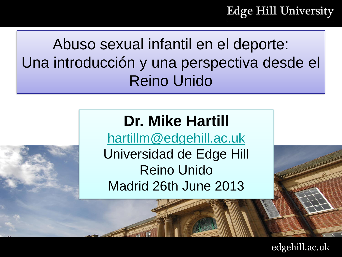**Edge Hill University** 

Abuso sexual infantil en el deporte: Una introducción y una perspectiva desde el Reino Unido

#### **Dr. Mike Hartill**

[hartillm@edgehill.ac.uk](mailto:hartillm@edgehill.ac.uk) Universidad de Edge Hill Reino Unido Madrid 26th June 2013

edgehill.ac.uk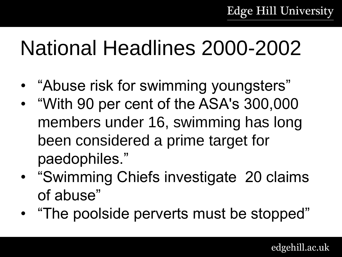# National Headlines 2000-2002

- "Abuse risk for swimming youngsters"
- "With 90 per cent of the ASA's 300,000 members under 16, swimming has long been considered a prime target for paedophiles."
- "Swimming Chiefs investigate 20 claims of abuse"
- "The poolside perverts must be stopped"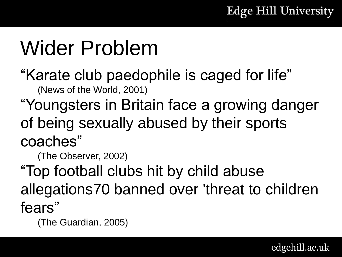# Wider Problem

"Karate club paedophile is caged for life" (News of the World, 2001)

"Youngsters in Britain face a growing danger of being sexually abused by their sports coaches"

(The Observer, 2002)

"Top football clubs hit by child abuse allegations70 banned over 'threat to children fears"

(The Guardian, 2005)

edgehill.ac.uk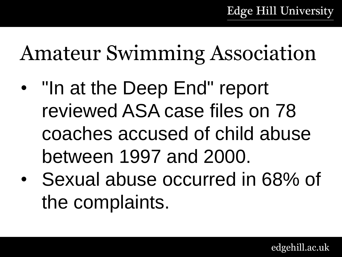# Amateur Swimming Association

- "In at the Deep End" report reviewed ASA case files on 78 coaches accused of child abuse between 1997 and 2000.
- Sexual abuse occurred in 68% of the complaints.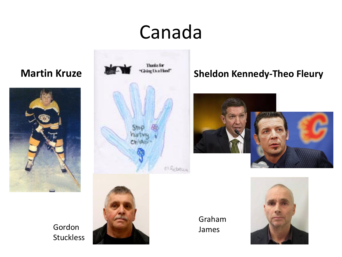#### Canada





#### **Martin Kruze Sheldon Kennedy-Theo Fleury**



Gordon Stuckless



Graham James

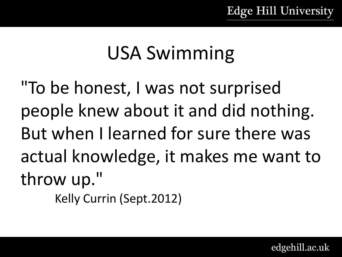#### USA Swimming

"To be honest, I was not surprised people knew about it and did nothing. But when I learned for sure there was actual knowledge, it makes me want to throw up."

Kelly Currin (Sept.2012)

edgehill.ac.uk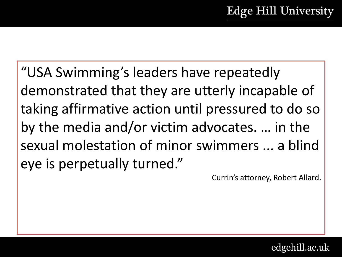"USA Swimming's leaders have repeatedly demonstrated that they are utterly incapable of taking affirmative action until pressured to do so by the media and/or victim advocates. … in the sexual molestation of minor swimmers ... a blind eye is perpetually turned."

Currin's attorney, Robert Allard.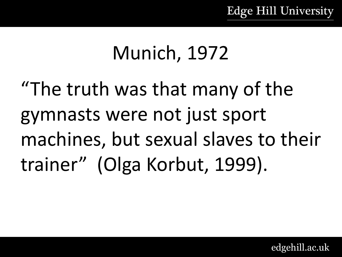#### Munich, 1972

"The truth was that many of the gymnasts were not just sport machines, but sexual slaves to their trainer" (Olga Korbut, 1999).

edgehill.ac.uk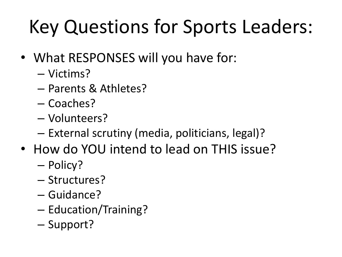## Key Questions for Sports Leaders:

- What RESPONSES will you have for:
	- Victims?
	- Parents & Athletes?
	- Coaches?
	- Volunteers?
	- External scrutiny (media, politicians, legal)?
- How do YOU intend to lead on THIS issue?
	- Policy?
	- Structures?
	- Guidance?
	- Education/Training?
	- Support?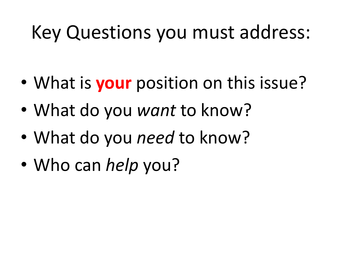#### Key Questions you must address:

- What is **your** position on this issue?
- What do you *want* to know?
- What do you *need* to know?
- Who can *help* you?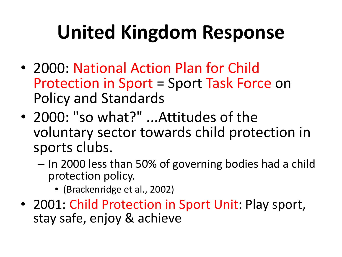## **United Kingdom Response**

- 2000: National Action Plan for Child Protection in Sport = Sport Task Force on Policy and Standards
- 2000: "so what?" ...Attitudes of the voluntary sector towards child protection in sports clubs.
	- In 2000 less than 50% of governing bodies had a child protection policy.
		- (Brackenridge et al., 2002)
- 2001: Child Protection in Sport Unit: Play sport, stay safe, enjoy & achieve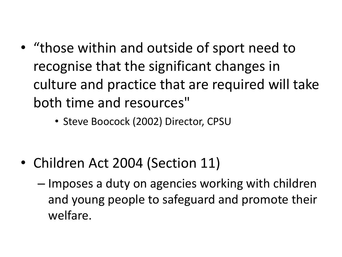- "those within and outside of sport need to recognise that the significant changes in culture and practice that are required will take both time and resources"
	- Steve Boocock (2002) Director, CPSU

- Children Act 2004 (Section 11)
	- Imposes a duty on agencies working with children and young people to safeguard and promote their welfare.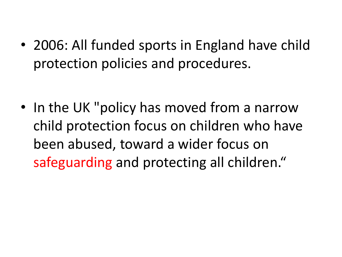• 2006: All funded sports in England have child protection policies and procedures.

• In the UK "policy has moved from a narrow child protection focus on children who have been abused, toward a wider focus on safeguarding and protecting all children."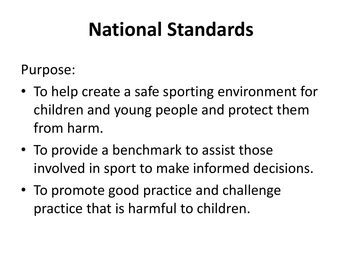#### **National Standards**

Purpose:

- To help create a safe sporting environment for children and young people and protect them from harm.
- To provide a benchmark to assist those involved in sport to make informed decisions.
- To promote good practice and challenge practice that is harmful to children.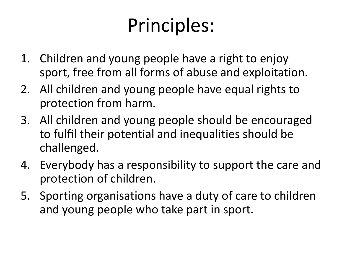### Principles:

- 1. Children and young people have a right to enjoy sport, free from all forms of abuse and exploitation.
- 2. All children and young people have equal rights to protection from harm.
- 3. All children and young people should be encouraged to fulfil their potential and inequalities should be challenged.
- 4. Everybody has a responsibility to support the care and protection of children.
- 5. Sporting organisations have a duty of care to children and young people who take part in sport.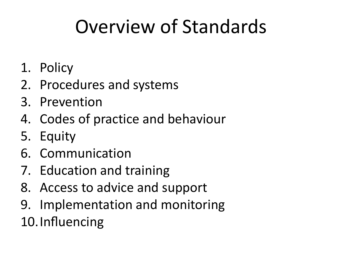#### Overview of Standards

- 1. Policy
- 2. Procedures and systems
- 3. Prevention
- 4. Codes of practice and behaviour
- 5. Equity
- 6. Communication
- 7. Education and training
- 8. Access to advice and support
- 9. Implementation and monitoring 10.Influencing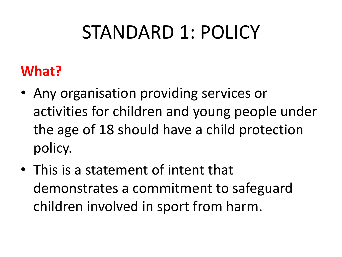#### STANDARD 1: POLICY

#### **What?**

- Any organisation providing services or activities for children and young people under the age of 18 should have a child protection policy.
- This is a statement of intent that demonstrates a commitment to safeguard children involved in sport from harm.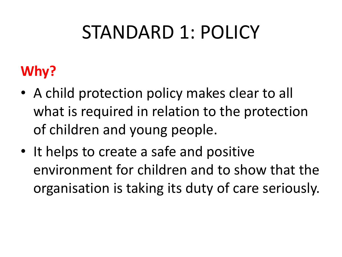#### STANDARD 1: POLICY

#### **Why?**

- A child protection policy makes clear to all what is required in relation to the protection of children and young people.
- It helps to create a safe and positive environment for children and to show that the organisation is taking its duty of care seriously.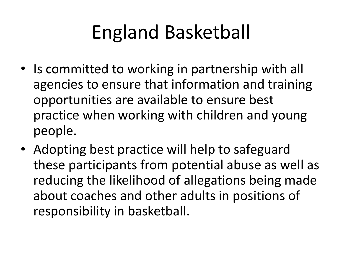#### England Basketball

- Is committed to working in partnership with all agencies to ensure that information and training opportunities are available to ensure best practice when working with children and young people.
- Adopting best practice will help to safeguard these participants from potential abuse as well as reducing the likelihood of allegations being made about coaches and other adults in positions of responsibility in basketball.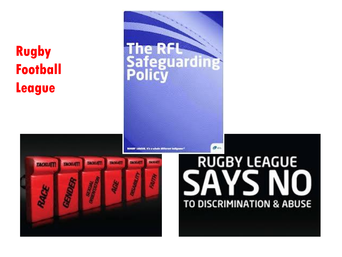#### **Rugby Football League**

INSIGHT LABCAN, IT'S a vehale different budgame

**The RfL** 

B ۵

**Safeguarding** 



# **RUGBY LEAGUE** TO DISCRIMINATION & ABUSE

 $\mathcal{O}$  and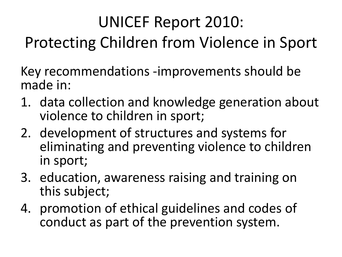#### UNICEF Report 2010: Protecting Children from Violence in Sport

Key recommendations -improvements should be made in:

- 1. data collection and knowledge generation about violence to children in sport;
- 2. development of structures and systems for eliminating and preventing violence to children in sport;
- 3. education, awareness raising and training on this subject;
- 4. promotion of ethical guidelines and codes of conduct as part of the prevention system.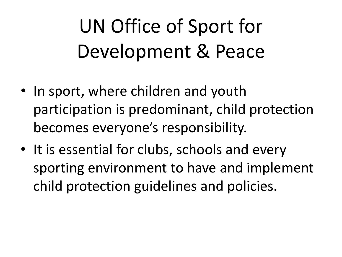# UN Office of Sport for Development & Peace

- In sport, where children and youth participation is predominant, child protection becomes everyone's responsibility.
- It is essential for clubs, schools and every sporting environment to have and implement child protection guidelines and policies.